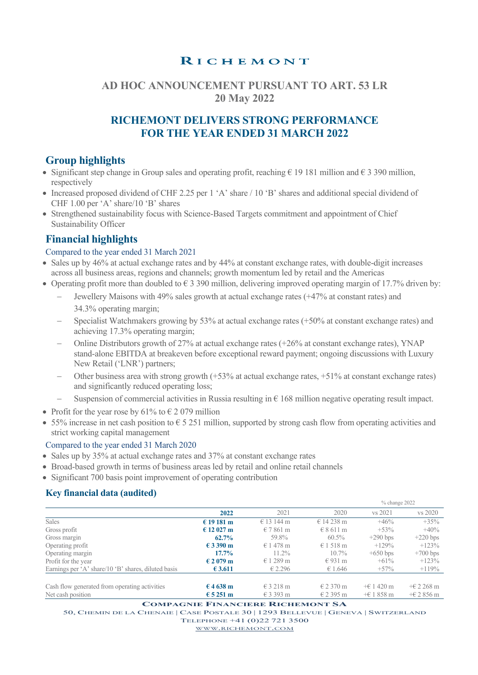# RICHEMONT

# **AD HOC ANNOUNCEMENT PURSUANT TO ART. 53 LR 20 May 2022**

# **RICHEMONT DELIVERS STRONG PERFORMANCE FOR THE YEAR ENDED 31 MARCH 2022**

# **Group highlights**

- Significant step change in Group sales and operating profit, reaching  $\epsilon$  19 181 million and  $\epsilon$  3 390 million, respectively
- Increased proposed dividend of CHF 2.25 per 1 'A' share / 10 'B' shares and additional special dividend of CHF 1.00 per 'A' share/10 'B' shares
- Strengthened sustainability focus with Science-Based Targets commitment and appointment of Chief Sustainability Officer

# **Financial highlights**

### Compared to the year ended 31 March 2021

- Sales up by 46% at actual exchange rates and by 44% at constant exchange rates, with double-digit increases across all business areas, regions and channels; growth momentum led by retail and the Americas
- Operating profit more than doubled to  $\epsilon$  3 390 million, delivering improved operating margin of 17.7% driven by:
	- Jewellery Maisons with 49% sales growth at actual exchange rates (+47% at constant rates) and 34.3% operating margin;
	- Specialist Watchmakers growing by 53% at actual exchange rates (+50% at constant exchange rates) and achieving 17.3% operating margin;
	- Online Distributors growth of 27% at actual exchange rates (+26% at constant exchange rates), YNAP stand-alone EBITDA at breakeven before exceptional reward payment; ongoing discussions with Luxury New Retail ('LNR') partners;
	- Other business area with strong growth (+53% at actual exchange rates, +51% at constant exchange rates) and significantly reduced operating loss;
	- Suspension of commercial activities in Russia resulting in  $\epsilon$  168 million negative operating result impact.
- Profit for the year rose by 61% to  $\epsilon$  2 079 million
- 55% increase in net cash position to  $\epsilon$  5 251 million, supported by strong cash flow from operating activities and strict working capital management

### Compared to the year ended 31 March 2020

- Sales up by 35% at actual exchange rates and 37% at constant exchange rates
- Broad-based growth in terms of business areas led by retail and online retail channels
- Significant 700 basis point improvement of operating contribution

### **Key financial data (audited)**

|                                                     |                    |                    |               | % change 2022      |            |
|-----------------------------------------------------|--------------------|--------------------|---------------|--------------------|------------|
|                                                     | 2022               | 2021               | 2020          | vs 2021            | vs 2020    |
| <b>Sales</b>                                        | € 19 181 m         | $\in$ 13 144 m     | € 14 238 m    | $+46%$             | $+35%$     |
| Gross profit                                        | € 12 027 m         | $\epsilon$ 7 861 m | $E$ 8.611 m   | $+53%$             | $+40%$     |
| Gross margin                                        | $62.7\%$           | 59.8%              | 60.5%         | $+290$ bps         | $+220$ bps |
| Operating profit                                    | € 3 390 m          | € 1478 m           | $\in$ 1 518 m | $+129%$            | $+123%$    |
| Operating margin                                    | $17.7\%$           | $11.2\%$           | $10.7\%$      | $+650$ bps         | $+700$ bps |
| Profit for the year                                 | € 2 079 m          | $\in$ 1 289 m      | $\in$ 931 m   | $+61\%$            | $+123%$    |
| Earnings per 'A' share/10 'B' shares, diluted basis | € 3.611            | € 2.296            | € 1.646       | $+57\%$            | $+119%$    |
|                                                     |                    |                    |               |                    |            |
| Cash flow generated from operating activities       | € 4 638 m          | $\epsilon$ 3 218 m | $E$ 2 370 m   | $+61420 \text{ m}$ | $+62268$ m |
| Net cash position                                   | $\epsilon$ 5 251 m | $\in$ 3 393 m      | $E$ 2 395 m   | $+61858 \text{ m}$ | $+62856$ m |

**COMPAGNIE FINANCIERE RICHEMONT SA** 

50, CHEMIN DE LA CHENAIE | CASE POSTALE 30 | 1293 BELLEVUE | GENEVA | SWITZERLAND

TELEPHONE +41 (0)22 721 3500

WWW.RICHEMONT.COM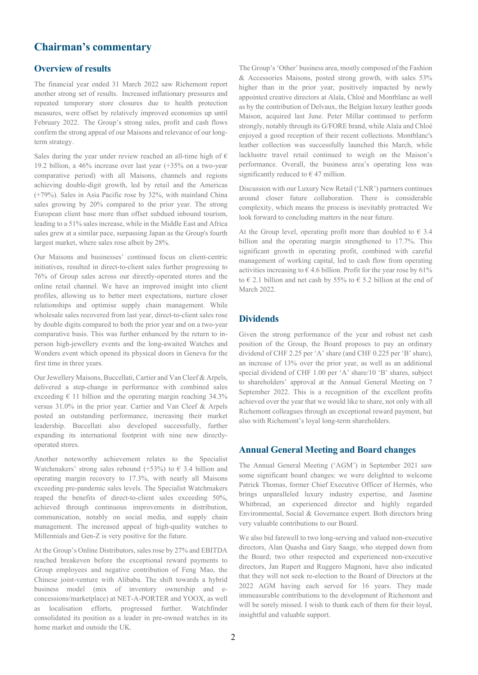### **Chairman's commentary**

### **Overview of results**

The financial year ended 31 March 2022 saw Richemont report another strong set of results. Increased inflationary pressures and repeated temporary store closures due to health protection measures, were offset by relatively improved economies up until February 2022. The Group's strong sales, profit and cash flows confirm the strong appeal of our Maisons and relevance of our longterm strategy.

Sales during the year under review reached an all-time high of  $\epsilon$ 19.2 billion, a 46% increase over last year (+35% on a two-year comparative period) with all Maisons, channels and regions achieving double-digit growth, led by retail and the Americas (+79%). Sales in Asia Pacific rose by 32%, with mainland China sales growing by 20% compared to the prior year. The strong European client base more than offset subdued inbound tourism, leading to a 51% sales increase, while in the Middle East and Africa sales grew at a similar pace, surpassing Japan as the Group's fourth largest market, where sales rose albeit by 28%.

Our Maisons and businesses' continued focus on client-centric initiatives, resulted in direct-to-client sales further progressing to 76% of Group sales across our directly-operated stores and the online retail channel. We have an improved insight into client profiles, allowing us to better meet expectations, nurture closer relationships and optimise supply chain management. While wholesale sales recovered from last year, direct-to-client sales rose by double digits compared to both the prior year and on a two-year comparative basis. This was further enhanced by the return to inperson high-jewellery events and the long-awaited Watches and Wonders event which opened its physical doors in Geneva for the first time in three years.

Our Jewellery Maisons, Buccellati, Cartier and Van Cleef & Arpels, delivered a step-change in performance with combined sales exceeding  $\epsilon$  11 billion and the operating margin reaching 34.3% versus 31.0% in the prior year. Cartier and Van Cleef & Arpels posted an outstanding performance, increasing their market leadership. Buccellati also developed successfully, further expanding its international footprint with nine new directlyoperated stores.

Another noteworthy achievement relates to the Specialist Watchmakers' strong sales rebound (+53%) to  $\epsilon$  3.4 billion and operating margin recovery to 17.3%, with nearly all Maisons exceeding pre-pandemic sales levels. The Specialist Watchmakers reaped the benefits of direct-to-client sales exceeding 50%, achieved through continuous improvements in distribution, communication, notably on social media, and supply chain management. The increased appeal of high-quality watches to Millennials and Gen-Z is very positive for the future.

At the Group's Online Distributors, sales rose by 27% and EBITDA reached breakeven before the exceptional reward payments to Group employees and negative contribution of Feng Mao, the Chinese joint-venture with Alibaba. The shift towards a hybrid business model (mix of inventory ownership and econcessions/marketplace) at NET-A-PORTER and YOOX, as well as localisation efforts, progressed further. Watchfinder consolidated its position as a leader in pre-owned watches in its home market and outside the UK.

The Group's 'Other' business area, mostly composed of the Fashion & Accessories Maisons, posted strong growth, with sales 53% higher than in the prior year, positively impacted by newly appointed creative directors at Alaïa, Chloé and Montblanc as well as by the contribution of Delvaux, the Belgian luxury leather goods Maison, acquired last June. Peter Millar continued to perform strongly, notably through its G/FORE brand, while Alaïa and Chloé enjoyed a good reception of their recent collections. Montblanc's leather collection was successfully launched this March, while lacklustre travel retail continued to weigh on the Maison's performance. Overall, the business area's operating loss was significantly reduced to  $\in$  47 million.

Discussion with our Luxury New Retail ('LNR') partners continues around closer future collaboration. There is considerable complexity, which means the process is inevitably protracted. We look forward to concluding matters in the near future.

At the Group level, operating profit more than doubled to  $\epsilon$  3.4 billion and the operating margin strengthened to 17.7%. This significant growth in operating profit, combined with careful management of working capital, led to cash flow from operating activities increasing to  $\epsilon$  4.6 billion. Profit for the year rose by 61% to  $\in$  2.1 billion and net cash by 55% to  $\in$  5.2 billion at the end of March 2022.

#### **Dividends**

Given the strong performance of the year and robust net cash position of the Group, the Board proposes to pay an ordinary dividend of CHF 2.25 per 'A' share (and CHF 0.225 per 'B' share), an increase of 13% over the prior year, as well as an additional special dividend of CHF 1.00 per 'A' share/10 'B' shares, subject to shareholders' approval at the Annual General Meeting on 7 September 2022. This is a recognition of the excellent profits achieved over the year that we would like to share, not only with all Richemont colleagues through an exceptional reward payment, but also with Richemont's loyal long-term shareholders.

#### **Annual General Meeting and Board changes**

The Annual General Meeting ('AGM') in September 2021 saw some significant board changes: we were delighted to welcome Patrick Thomas, former Chief Executive Officer of Hermès, who brings unparalleled luxury industry expertise, and Jasmine Whitbread, an experienced director and highly regarded Environmental, Social & Governance expert. Both directors bring very valuable contributions to our Board.

We also bid farewell to two long-serving and valued non-executive directors, Alan Quasha and Gary Saage, who stepped down from the Board; two other respected and experienced non-executive directors, Jan Rupert and Ruggero Magnoni, have also indicated that they will not seek re-election to the Board of Directors at the 2022 AGM having each served for 16 years. They made immeasurable contributions to the development of Richemont and will be sorely missed. I wish to thank each of them for their loyal, insightful and valuable support.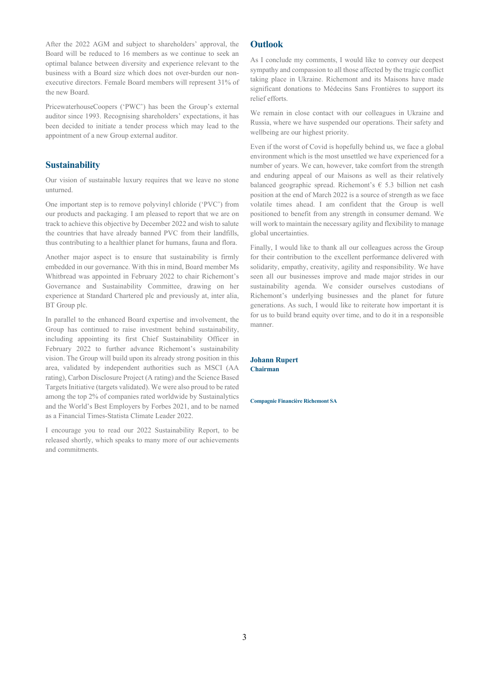After the 2022 AGM and subject to shareholders' approval, the Board will be reduced to 16 members as we continue to seek an optimal balance between diversity and experience relevant to the business with a Board size which does not over-burden our nonexecutive directors. Female Board members will represent 31% of the new Board.

PricewaterhouseCoopers ('PWC') has been the Group's external auditor since 1993. Recognising shareholders' expectations, it has been decided to initiate a tender process which may lead to the appointment of a new Group external auditor.

#### **Sustainability**

Our vision of sustainable luxury requires that we leave no stone unturned.

One important step is to remove polyvinyl chloride ('PVC') from our products and packaging. I am pleased to report that we are on track to achieve this objective by December 2022 and wish to salute the countries that have already banned PVC from their landfills, thus contributing to a healthier planet for humans, fauna and flora.

Another major aspect is to ensure that sustainability is firmly embedded in our governance. With this in mind, Board member Ms Whitbread was appointed in February 2022 to chair Richemont's Governance and Sustainability Committee, drawing on her experience at Standard Chartered plc and previously at, inter alia, BT Group plc.

In parallel to the enhanced Board expertise and involvement, the Group has continued to raise investment behind sustainability, including appointing its first Chief Sustainability Officer in February 2022 to further advance Richemont's sustainability vision. The Group will build upon its already strong position in this area, validated by independent authorities such as MSCI (AA rating), Carbon Disclosure Project (A rating) and the Science Based Targets Initiative (targets validated). We were also proud to be rated among the top 2% of companies rated worldwide by Sustainalytics and the World's Best Employers by Forbes 2021, and to be named as a Financial Times-Statista Climate Leader 2022.

I encourage you to read our 2022 Sustainability Report, to be released shortly, which speaks to many more of our achievements and commitments.

#### **Outlook**

As I conclude my comments, I would like to convey our deepest sympathy and compassion to all those affected by the tragic conflict taking place in Ukraine. Richemont and its Maisons have made significant donations to Médecins Sans Frontières to support its relief efforts.

We remain in close contact with our colleagues in Ukraine and Russia, where we have suspended our operations. Their safety and wellbeing are our highest priority.

Even if the worst of Covid is hopefully behind us, we face a global environment which is the most unsettled we have experienced for a number of years. We can, however, take comfort from the strength and enduring appeal of our Maisons as well as their relatively balanced geographic spread. Richemont's  $\epsilon$  5.3 billion net cash position at the end of March 2022 is a source of strength as we face volatile times ahead. I am confident that the Group is well positioned to benefit from any strength in consumer demand. We will work to maintain the necessary agility and flexibility to manage global uncertainties.

Finally, I would like to thank all our colleagues across the Group for their contribution to the excellent performance delivered with solidarity, empathy, creativity, agility and responsibility. We have seen all our businesses improve and made major strides in our sustainability agenda. We consider ourselves custodians of Richemont's underlying businesses and the planet for future generations. As such, I would like to reiterate how important it is for us to build brand equity over time, and to do it in a responsible manner.

**Johann Rupert Chairman** 

**Compagnie Financière Richemont SA**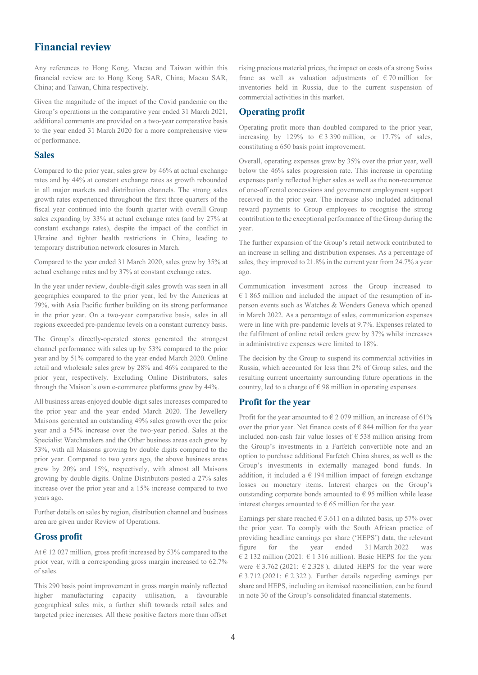### **Financial review**

Any references to Hong Kong, Macau and Taiwan within this financial review are to Hong Kong SAR, China; Macau SAR, China; and Taiwan, China respectively.

Given the magnitude of the impact of the Covid pandemic on the Group's operations in the comparative year ended 31 March 2021, additional comments are provided on a two-year comparative basis to the year ended 31 March 2020 for a more comprehensive view of performance.

#### **Sales**

Compared to the prior year, sales grew by 46% at actual exchange rates and by 44% at constant exchange rates as growth rebounded in all major markets and distribution channels. The strong sales growth rates experienced throughout the first three quarters of the fiscal year continued into the fourth quarter with overall Group sales expanding by 33% at actual exchange rates (and by 27% at constant exchange rates), despite the impact of the conflict in Ukraine and tighter health restrictions in China, leading to temporary distribution network closures in March.

Compared to the year ended 31 March 2020, sales grew by 35% at actual exchange rates and by 37% at constant exchange rates.

In the year under review, double-digit sales growth was seen in all geographies compared to the prior year, led by the Americas at 79%, with Asia Pacific further building on its strong performance in the prior year. On a two-year comparative basis, sales in all regions exceeded pre-pandemic levels on a constant currency basis.

The Group's directly-operated stores generated the strongest channel performance with sales up by 53% compared to the prior year and by 51% compared to the year ended March 2020. Online retail and wholesale sales grew by 28% and 46% compared to the prior year, respectively. Excluding Online Distributors, sales through the Maison's own e-commerce platforms grew by 44%.

All business areas enjoyed double-digit sales increases compared to the prior year and the year ended March 2020. The Jewellery Maisons generated an outstanding 49% sales growth over the prior year and a 54% increase over the two-year period. Sales at the Specialist Watchmakers and the Other business areas each grew by 53%, with all Maisons growing by double digits compared to the prior year. Compared to two years ago, the above business areas grew by 20% and 15%, respectively, with almost all Maisons growing by double digits. Online Distributors posted a 27% sales increase over the prior year and a 15% increase compared to two years ago.

Further details on sales by region, distribution channel and business area are given under Review of Operations.

#### **Gross profit**

At  $\epsilon$  12 027 million, gross profit increased by 53% compared to the prior year, with a corresponding gross margin increased to 62.7% of sales.

This 290 basis point improvement in gross margin mainly reflected higher manufacturing capacity utilisation, a favourable geographical sales mix, a further shift towards retail sales and targeted price increases. All these positive factors more than offset

rising precious material prices, the impact on costs of a strong Swiss franc as well as valuation adjustments of  $\epsilon$  70 million for inventories held in Russia, due to the current suspension of commercial activities in this market.

#### **Operating profit**

Operating profit more than doubled compared to the prior year, increasing by 129% to  $\epsilon$  3 390 million, or 17.7% of sales, constituting a 650 basis point improvement.

Overall, operating expenses grew by 35% over the prior year, well below the 46% sales progression rate. This increase in operating expenses partly reflected higher sales as well as the non-recurrence of one-off rental concessions and government employment support received in the prior year. The increase also included additional reward payments to Group employees to recognise the strong contribution to the exceptional performance of the Group during the year.

The further expansion of the Group's retail network contributed to an increase in selling and distribution expenses. As a percentage of sales, they improved to 21.8% in the current year from 24.7% a year ago.

Communication investment across the Group increased to  $€ 1865$  million and included the impact of the resumption of inperson events such as Watches & Wonders Geneva which opened in March 2022. As a percentage of sales, communication expenses were in line with pre-pandemic levels at 9.7%. Expenses related to the fulfilment of online retail orders grew by 37% whilst increases in administrative expenses were limited to 18%.

The decision by the Group to suspend its commercial activities in Russia, which accounted for less than 2% of Group sales, and the resulting current uncertainty surrounding future operations in the country, led to a charge of  $\epsilon$  98 million in operating expenses.

#### **Profit for the year**

Profit for the year amounted to  $\epsilon$  2 079 million, an increase of 61% over the prior year. Net finance costs of  $\epsilon$  844 million for the year included non-cash fair value losses of  $\epsilon$  538 million arising from the Group's investments in a Farfetch convertible note and an option to purchase additional Farfetch China shares, as well as the Group's investments in externally managed bond funds. In addition, it included a  $\epsilon$  194 million impact of foreign exchange losses on monetary items. Interest charges on the Group's outstanding corporate bonds amounted to  $\epsilon$  95 million while lease interest charges amounted to  $\epsilon$  65 million for the year.

Earnings per share reached  $\in$  3.611 on a diluted basis, up 57% over the prior year. To comply with the South African practice of providing headline earnings per share ('HEPS') data, the relevant figure for the year ended 31 March 2022 was € 2 132 million (2021: € 1 316 million). Basic HEPS for the year were  $\epsilon$  3.762 (2021:  $\epsilon$  2.328), diluted HEPS for the year were € 3.712 (2021: € 2.322). Further details regarding earnings per share and HEPS, including an itemised reconciliation, can be found in note 30 of the Group's consolidated financial statements.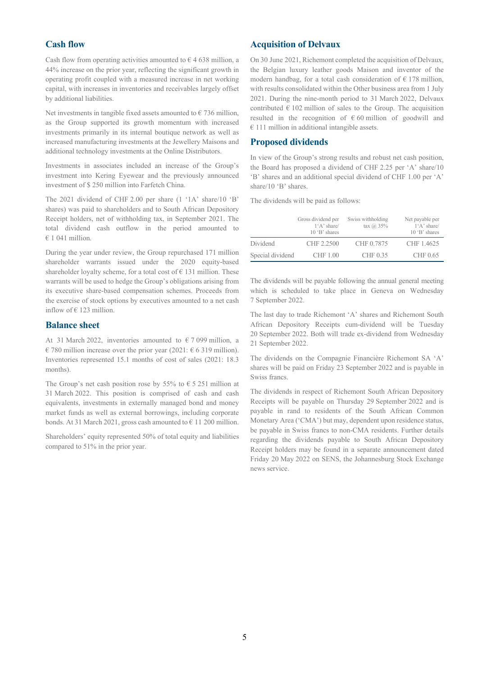#### **Cash flow**

Cash flow from operating activities amounted to  $\epsilon$  4 638 million, a 44% increase on the prior year, reflecting the significant growth in operating profit coupled with a measured increase in net working capital, with increases in inventories and receivables largely offset by additional liabilities.

Net investments in tangible fixed assets amounted to  $\epsilon$  736 million, as the Group supported its growth momentum with increased investments primarily in its internal boutique network as well as increased manufacturing investments at the Jewellery Maisons and additional technology investments at the Online Distributors.

Investments in associates included an increase of the Group's investment into Kering Eyewear and the previously announced investment of \$ 250 million into Farfetch China.

The 2021 dividend of CHF 2.00 per share (1 '1A' share/10 'B' shares) was paid to shareholders and to South African Depository Receipt holders, net of withholding tax, in September 2021. The total dividend cash outflow in the period amounted to  $€ 1 041$  million.

During the year under review, the Group repurchased 171 million shareholder warrants issued under the 2020 equity-based shareholder loyalty scheme, for a total cost of  $\epsilon$  131 million. These warrants will be used to hedge the Group's obligations arising from its executive share-based compensation schemes. Proceeds from the exercise of stock options by executives amounted to a net cash inflow of  $\in$  123 million.

#### **Balance sheet**

At 31 March 2022, inventories amounted to  $\epsilon$  7 099 million, a € 780 million increase over the prior year (2021: € 6 319 million). Inventories represented 15.1 months of cost of sales (2021: 18.3 months).

The Group's net cash position rose by 55% to  $\epsilon$  5 251 million at 31 March 2022. This position is comprised of cash and cash equivalents, investments in externally managed bond and money market funds as well as external borrowings, including corporate bonds. At 31 March 2021, gross cash amounted to  $\epsilon$  11 200 million.

Shareholders' equity represented 50% of total equity and liabilities compared to 51% in the prior year.

#### **Acquisition of Delvaux**

On 30 June 2021, Richemont completed the acquisition of Delvaux, the Belgian luxury leather goods Maison and inventor of the modern handbag, for a total cash consideration of  $\epsilon$  178 million, with results consolidated within the Other business area from 1 July 2021. During the nine-month period to 31 March 2022, Delvaux contributed  $\epsilon$  102 million of sales to the Group. The acquisition resulted in the recognition of  $\epsilon$  60 million of goodwill and  $€ 111$  million in additional intangible assets.

#### **Proposed dividends**

In view of the Group's strong results and robust net cash position, the Board has proposed a dividend of CHF 2.25 per 'A' share/10 'B' shares and an additional special dividend of CHF 1.00 per 'A' share/10 'B' shares.

The dividends will be paid as follows:

|                  | Gross dividend per<br>$1'A$ ' share/<br>$10 \text{ }^{\circ}B$ ' shares | Swiss withholding<br>tax $(a)$ 35% | Net payable per<br>$1'A$ ' share/<br>$10 \text{ }^{\circ}B$ ' shares |
|------------------|-------------------------------------------------------------------------|------------------------------------|----------------------------------------------------------------------|
| Dividend         | CHF 2.2500                                                              | CHF 0.7875                         | CHF 1.4625                                                           |
| Special dividend | CHF 1.00                                                                | CHF 0.35                           | CHF 0.65                                                             |

The dividends will be payable following the annual general meeting which is scheduled to take place in Geneva on Wednesday 7 September 2022.

The last day to trade Richemont 'A' shares and Richemont South African Depository Receipts cum-dividend will be Tuesday 20 September 2022. Both will trade ex-dividend from Wednesday 21 September 2022.

The dividends on the Compagnie Financière Richemont SA 'A' shares will be paid on Friday 23 September 2022 and is payable in Swiss francs.

The dividends in respect of Richemont South African Depository Receipts will be payable on Thursday 29 September 2022 and is payable in rand to residents of the South African Common Monetary Area ('CMA') but may, dependent upon residence status, be payable in Swiss francs to non-CMA residents. Further details regarding the dividends payable to South African Depository Receipt holders may be found in a separate announcement dated Friday 20 May 2022 on SENS, the Johannesburg Stock Exchange news service.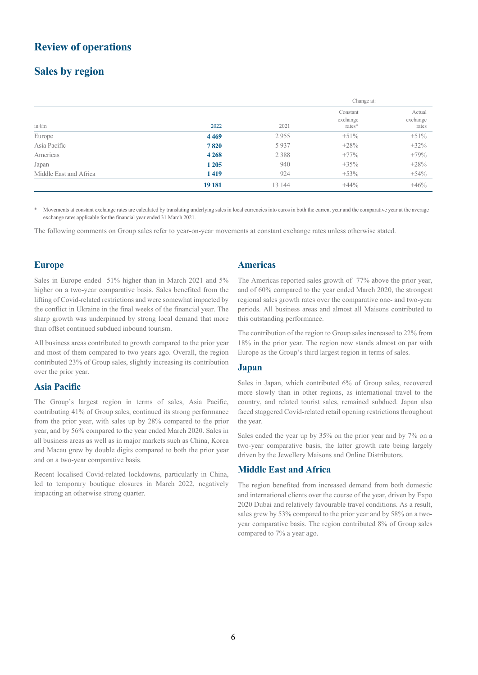### **Review of operations**

# **Sales by region**

|                        |         |         | Change at:                     |                             |
|------------------------|---------|---------|--------------------------------|-----------------------------|
| in $\epsilon$ m        | 2022    | 2021    | Constant<br>exchange<br>rates* | Actual<br>exchange<br>rates |
| Europe                 | 4 4 6 9 | 2955    | $+51\%$                        | $+51\%$                     |
| Asia Pacific           | 7820    | 5937    | $+28%$                         | $+32%$                      |
| Americas               | 4 2 6 8 | 2 3 8 8 | $+77\%$                        | $+79%$                      |
| Japan                  | 1 2 0 5 | 940     | $+35%$                         | $+28%$                      |
| Middle East and Africa | 1419    | 924     | $+53%$                         | $+54%$                      |
|                        | 19 181  | 13 144  | $+44\%$                        | $+46%$                      |

Movements at constant exchange rates are calculated by translating underlying sales in local currencies into euros in both the current year and the comparative year at the average exchange rates applicable for the financial year ended 31 March 2021.

The following comments on Group sales refer to year-on-year movements at constant exchange rates unless otherwise stated.

#### **Europe**

Sales in Europe ended 51% higher than in March 2021 and 5% higher on a two-year comparative basis. Sales benefited from the lifting of Covid-related restrictions and were somewhat impacted by the conflict in Ukraine in the final weeks of the financial year. The sharp growth was underpinned by strong local demand that more than offset continued subdued inbound tourism.

All business areas contributed to growth compared to the prior year and most of them compared to two years ago. Overall, the region contributed 23% of Group sales, slightly increasing its contribution over the prior year.

#### **Asia Pacific**

The Group's largest region in terms of sales, Asia Pacific, contributing 41% of Group sales, continued its strong performance from the prior year, with sales up by 28% compared to the prior year, and by 56% compared to the year ended March 2020. Sales in all business areas as well as in major markets such as China, Korea and Macau grew by double digits compared to both the prior year and on a two-year comparative basis.

Recent localised Covid-related lockdowns, particularly in China, led to temporary boutique closures in March 2022, negatively impacting an otherwise strong quarter.

#### **Americas**

The Americas reported sales growth of 77% above the prior year, and of 60% compared to the year ended March 2020, the strongest regional sales growth rates over the comparative one- and two-year periods. All business areas and almost all Maisons contributed to this outstanding performance.

The contribution of the region to Group sales increased to 22% from 18% in the prior year. The region now stands almost on par with Europe as the Group's third largest region in terms of sales.

#### **Japan**

Sales in Japan, which contributed 6% of Group sales, recovered more slowly than in other regions, as international travel to the country, and related tourist sales, remained subdued. Japan also faced staggered Covid-related retail opening restrictions throughout the year.

Sales ended the year up by 35% on the prior year and by 7% on a two-year comparative basis, the latter growth rate being largely driven by the Jewellery Maisons and Online Distributors.

#### **Middle East and Africa**

The region benefited from increased demand from both domestic and international clients over the course of the year, driven by Expo 2020 Dubai and relatively favourable travel conditions. As a result, sales grew by 53% compared to the prior year and by 58% on a twoyear comparative basis. The region contributed 8% of Group sales compared to 7% a year ago.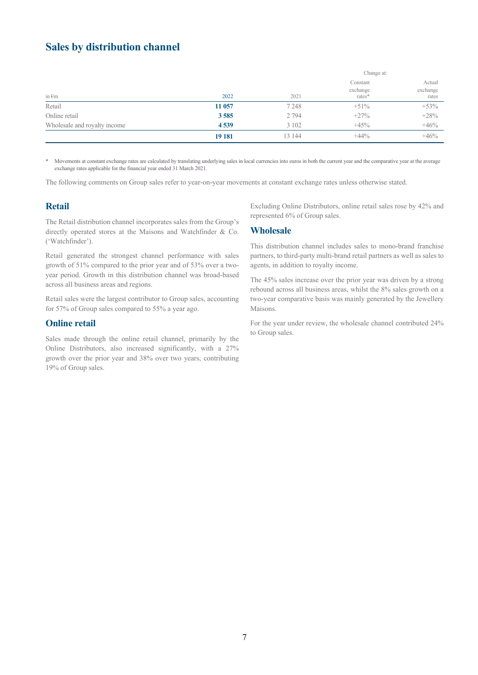# **Sales by distribution channel**

|                              |         |         | Change at:                       |                             |  |
|------------------------------|---------|---------|----------------------------------|-----------------------------|--|
| in $\epsilon$ m              | 2022    | 2021    | Constant<br>exchange<br>$rates*$ | Actual<br>exchange<br>rates |  |
| Retail                       | 11 057  | 7 2 4 8 | $+51%$                           | $+53%$                      |  |
| Online retail                | 3585    | 2 7 9 4 | $+27%$                           | $+28%$                      |  |
| Wholesale and royalty income | 4539    | 3 1 0 2 | $+45%$                           | $+46%$                      |  |
|                              | 19 18 1 | 13 144  | $+44\%$                          | $+46%$                      |  |

Movements at constant exchange rates are calculated by translating underlying sales in local currencies into euros in both the current year and the comparative year at the average exchange rates applicable for the financial year ended 31 March 2021.

The following comments on Group sales refer to year-on-year movements at constant exchange rates unless otherwise stated.

### **Retail**

The Retail distribution channel incorporates sales from the Group's directly operated stores at the Maisons and Watchfinder & Co. ('Watchfinder').

Retail generated the strongest channel performance with sales growth of 51% compared to the prior year and of 53% over a twoyear period. Growth in this distribution channel was broad-based across all business areas and regions.

Retail sales were the largest contributor to Group sales, accounting for 57% of Group sales compared to 55% a year ago.

#### **Online retail**

Sales made through the online retail channel, primarily by the Online Distributors, also increased significantly, with a 27% growth over the prior year and 38% over two years, contributing 19% of Group sales.

Excluding Online Distributors, online retail sales rose by 42% and represented 6% of Group sales.

#### **Wholesale**

This distribution channel includes sales to mono-brand franchise partners, to third-party multi-brand retail partners as well as sales to agents, in addition to royalty income.

The 45% sales increase over the prior year was driven by a strong rebound across all business areas, whilst the 8% sales growth on a two-year comparative basis was mainly generated by the Jewellery Maisons.

For the year under review, the wholesale channel contributed 24% to Group sales.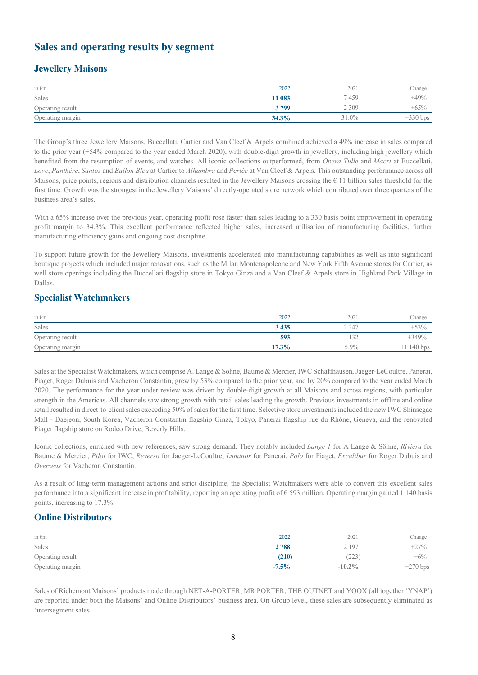# **Sales and operating results by segment**

### **Jewellery Maisons**

| in $\epsilon$ m  | 2022   | 2021    | Change     |
|------------------|--------|---------|------------|
| Sales            | 11 083 | 459     | $+49%$     |
| Operating result | 3799   | 2 3 0 9 | $+65%$     |
| Operating margin | 34.3%  | 31.0%   | $+330$ bps |

The Group's three Jewellery Maisons, Buccellati, Cartier and Van Cleef & Arpels combined achieved a 49% increase in sales compared to the prior year (+54% compared to the year ended March 2020), with double-digit growth in jewellery, including high jewellery which benefited from the resumption of events, and watches. All iconic collections outperformed, from *Opera Tulle* and *Macri* at Buccellati, *Love*, *Panthère*, *Santos* and *Ballon Bleu* at Cartier to *Alhambra* and *Perlée* at Van Cleef & Arpels. This outstanding performance across all Maisons, price points, regions and distribution channels resulted in the Jewellery Maisons crossing the  $\epsilon$  11 billion sales threshold for the first time. Growth was the strongest in the Jewellery Maisons' directly-operated store network which contributed over three quarters of the business area's sales.

With a 65% increase over the previous year, operating profit rose faster than sales leading to a 330 basis point improvement in operating profit margin to 34.3%. This excellent performance reflected higher sales, increased utilisation of manufacturing facilities, further manufacturing efficiency gains and ongoing cost discipline.

To support future growth for the Jewellery Maisons, investments accelerated into manufacturing capabilities as well as into significant boutique projects which included major renovations, such as the Milan Montenapoleone and New York Fifth Avenue stores for Cartier, as well store openings including the Buccellati flagship store in Tokyo Ginza and a Van Cleef & Arpels store in Highland Park Village in Dallas.

### **Specialist Watchmakers**

| in $\epsilon$ m  | 2022     | 2021          | Change       |
|------------------|----------|---------------|--------------|
| Sales            | 3 4 3 5  | 2 2 4 7       | $+53%$       |
| Operating result | 593      | $\sim$<br>132 | $+349%$      |
| Operating margin | $17.3\%$ | $5.9\%$       | $+1$ 140 bps |

Sales at the Specialist Watchmakers, which comprise A. Lange & Söhne, Baume & Mercier, IWC Schaffhausen, Jaeger-LeCoultre, Panerai, Piaget, Roger Dubuis and Vacheron Constantin, grew by 53% compared to the prior year, and by 20% compared to the year ended March 2020. The performance for the year under review was driven by double-digit growth at all Maisons and across regions, with particular strength in the Americas. All channels saw strong growth with retail sales leading the growth. Previous investments in offline and online retail resulted in direct-to-client sales exceeding 50% of sales for the first time. Selective store investments included the new IWC Shinsegae Mall - Daejeon, South Korea, Vacheron Constantin flagship Ginza, Tokyo, Panerai flagship rue du Rhône, Geneva, and the renovated Piaget flagship store on Rodeo Drive, Beverly Hills.

Iconic collections, enriched with new references, saw strong demand. They notably included *Lange 1* for A Lange & Söhne, *Riviera* for Baume & Mercier, *Pilot* for IWC, *Reverso* for Jaeger-LeCoultre, *Luminor* for Panerai, *Polo* for Piaget, *Excalibur* for Roger Dubuis and *Overseas* for Vacheron Constantin.

As a result of long-term management actions and strict discipline, the Specialist Watchmakers were able to convert this excellent sales performance into a significant increase in profitability, reporting an operating profit of € 593 million. Operating margin gained 1 140 basis points, increasing to 17.3%.

#### **Online Distributors**

| in $\epsilon$ m  | 2022    | 2021                 | Change                                        |
|------------------|---------|----------------------|-----------------------------------------------|
| Sales            | 2788    | 10 <sup>7</sup><br>- | $+27%$<br>$\overline{\phantom{0}}$            |
| Operating result | (210)   | 223                  | $+6\%$                                        |
| Operating margin | $-7.5%$ | $-10.2\%$            | $270 \text{ bps}$<br>$\overline{\phantom{0}}$ |

Sales of Richemont Maisons' products made through NET-A-PORTER, MR PORTER, THE OUTNET and YOOX (all together 'YNAP') are reported under both the Maisons' and Online Distributors' business area. On Group level, these sales are subsequently eliminated as 'intersegment sales'.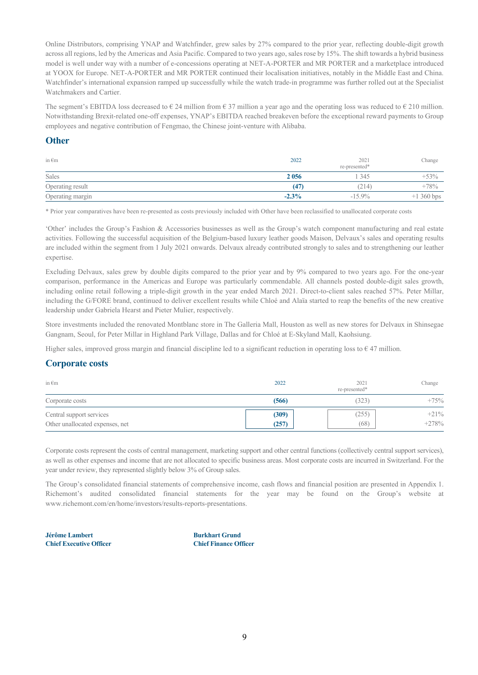Online Distributors, comprising YNAP and Watchfinder, grew sales by 27% compared to the prior year, reflecting double-digit growth across all regions, led by the Americas and Asia Pacific. Compared to two years ago, sales rose by 15%. The shift towards a hybrid business model is well under way with a number of e-concessions operating at NET-A-PORTER and MR PORTER and a marketplace introduced at YOOX for Europe. NET-A-PORTER and MR PORTER continued their localisation initiatives, notably in the Middle East and China. Watchfinder's international expansion ramped up successfully while the watch trade-in programme was further rolled out at the Specialist Watchmakers and Cartier.

The segment's EBITDA loss decreased to  $\epsilon$  24 million from  $\epsilon$  37 million a year ago and the operating loss was reduced to  $\epsilon$  210 million. Notwithstanding Brexit-related one-off expenses, YNAP's EBITDA reached breakeven before the exceptional reward payments to Group employees and negative contribution of Fengmao, the Chinese joint-venture with Alibaba.

#### **Other**

| in $\epsilon$ m  | 2022     | 2021<br>re-presented* | Change      |
|------------------|----------|-----------------------|-------------|
| Sales            | 2056     | 345                   | $+53%$      |
| Operating result | (47)     | 214)                  | $+78%$      |
| Operating margin | $-2.3\%$ | $-15.9\%$             | $+1360$ bps |

\* Prior year comparatives have been re-presented as costs previously included with Other have been reclassified to unallocated corporate costs

'Other' includes the Group's Fashion & Accessories businesses as well as the Group's watch component manufacturing and real estate activities. Following the successful acquisition of the Belgium-based luxury leather goods Maison, Delvaux's sales and operating results are included within the segment from 1 July 2021 onwards. Delvaux already contributed strongly to sales and to strengthening our leather expertise.

Excluding Delvaux, sales grew by double digits compared to the prior year and by 9% compared to two years ago. For the one-year comparison, performance in the Americas and Europe was particularly commendable. All channels posted double-digit sales growth, including online retail following a triple-digit growth in the year ended March 2021. Direct-to-client sales reached 57%. Peter Millar, including the G/FORE brand, continued to deliver excellent results while Chloé and Alaïa started to reap the benefits of the new creative leadership under Gabriela Hearst and Pieter Mulier, respectively.

Store investments included the renovated Montblanc store in The Galleria Mall, Houston as well as new stores for Delvaux in Shinsegae Gangnam, Seoul, for Peter Millar in Highland Park Village, Dallas and for Chloé at E-Skyland Mall, Kaohsiung.

Higher sales, improved gross margin and financial discipline led to a significant reduction in operating loss to  $\epsilon$  47 million.

#### **Corporate costs**

| in $\epsilon$ m                 | 2022  | 2021<br>re-presented* | Change  |
|---------------------------------|-------|-----------------------|---------|
| Corporate costs                 | (566) | 323)                  | $+75%$  |
| Central support services        | (309) | (255)                 | $+21%$  |
| Other unallocated expenses, net | (257) | (68)                  | $+278%$ |

Corporate costs represent the costs of central management, marketing support and other central functions (collectively central support services), as well as other expenses and income that are not allocated to specific business areas. Most corporate costs are incurred in Switzerland. For the year under review, they represented slightly below 3% of Group sales.

The Group's consolidated financial statements of comprehensive income, cash flows and financial position are presented in Appendix 1. Richemont's audited consolidated financial statements for the year may be found on the Group's website at www.richemont.com/en/home/investors/results-reports-presentations.

**Jérôme Lambert Burkhart Grund Chief Executive Officer Chief Finance Officer**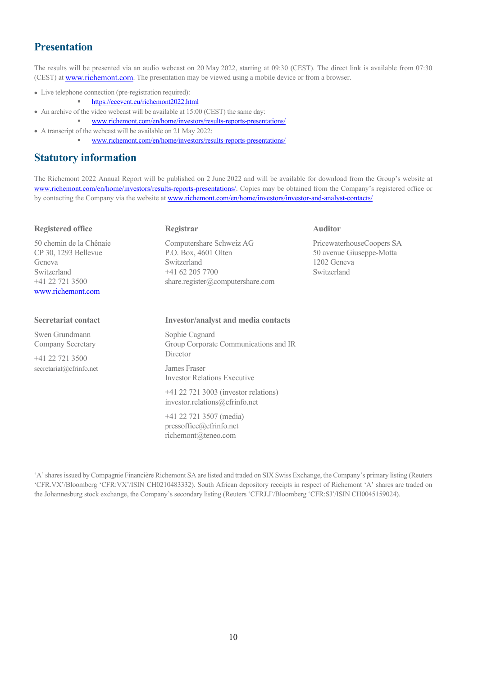# **Presentation**

The results will be presented via an audio webcast on 20 May 2022, starting at 09:30 (CEST). The direct link is available from 07:30 (CEST) at www.richemont.com. The presentation may be viewed using a mobile device or from a browser.

- Live telephone connection (pre-registration required):
	- https://ccevent.eu/richemont2022.html
- An archive of the video webcast will be available at 15:00 (CEST) the same day:
	- www.richemont.com/en/home/investors/results-reports-presentations/
- A transcript of the webcast will be available on 21 May 2022:
	- www.richemont.com/en/home/investors/results-reports-presentations/

### **Statutory information**

The Richemont 2022 Annual Report will be published on 2 June 2022 and will be available for download from the Group's website at www.richemont.com/en/home/investors/results-reports-presentations/. Copies may be obtained from the Company's registered office or by contacting the Company via the website at www.richemont.com/en/home/investors/investor-and-analyst-contacts/

| <b>Registered office</b>                                                                                           | Registrar                                                                                                                | <b>Auditor</b>                                                                      |
|--------------------------------------------------------------------------------------------------------------------|--------------------------------------------------------------------------------------------------------------------------|-------------------------------------------------------------------------------------|
| 50 chemin de la Chênaie<br>CP 30, 1293 Bellevue<br>Geneva<br>Switzerland<br>$+41$ 22 721 3500<br>www.richemont.com | Computershare Schweiz AG<br>P.O. Box, 4601 Olten<br>Switzerland<br>$+41$ 62 205 7700<br>share.register@computershare.com | PricewaterhouseCoopers SA<br>50 avenue Giuseppe-Motta<br>1202 Geneva<br>Switzerland |
| <b>Secretariat contact</b>                                                                                         | <b>Investor/analyst and media contacts</b>                                                                               |                                                                                     |
| Swen Grundmann<br>Company Secretary                                                                                | Sophie Cagnard<br>Group Corporate Communications and IR<br>Director                                                      |                                                                                     |
| $+41$ 22 721 3500<br>secretariat@cfrinfo.net                                                                       | James Fraser<br><b>Investor Relations Executive</b>                                                                      |                                                                                     |
|                                                                                                                    | +41 22 721 3003 (investor relations)<br>investor.relations@cfrinfo.net                                                   |                                                                                     |
|                                                                                                                    | +41 22 721 3507 (media)<br>pressoffice@cfrinfo.net                                                                       |                                                                                     |

richemont@teneo.com

'A' shares issued by Compagnie Financière Richemont SA are listed and traded on SIX Swiss Exchange, the Company's primary listing (Reuters 'CFR.VX'/Bloomberg 'CFR:VX'/ISIN CH0210483332). South African depository receipts in respect of Richemont 'A' shares are traded on the Johannesburg stock exchange, the Company's secondary listing (Reuters 'CFRJ.J'/Bloomberg 'CFR:SJ'/ISIN CH0045159024).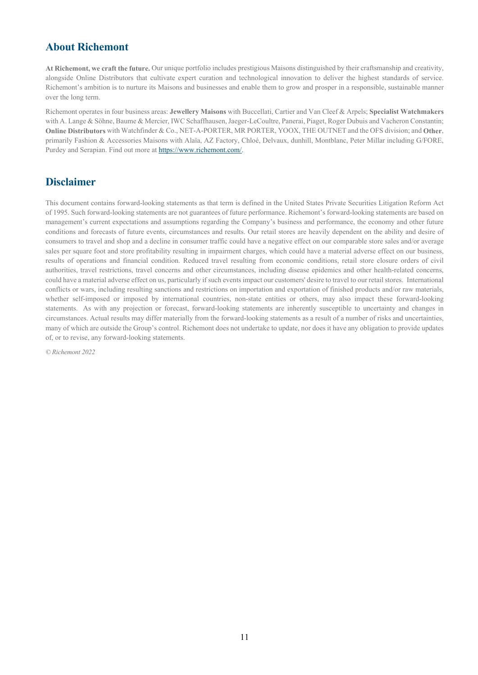# **About Richemont**

**At Richemont, we craft the future.** Our unique portfolio includes prestigious Maisons distinguished by their craftsmanship and creativity, alongside Online Distributors that cultivate expert curation and technological innovation to deliver the highest standards of service. Richemont's ambition is to nurture its Maisons and businesses and enable them to grow and prosper in a responsible, sustainable manner over the long term.

Richemont operates in four business areas: **Jewellery Maisons** with Buccellati, Cartier and Van Cleef & Arpels; **Specialist Watchmakers** with A. Lange & Söhne, Baume & Mercier, IWC Schaffhausen, Jaeger-LeCoultre, Panerai, Piaget, Roger Dubuis and Vacheron Constantin; **Online Distributors** with Watchfinder & Co., NET-A-PORTER, MR PORTER, YOOX, THE OUTNET and the OFS division; and **Other**, primarily Fashion & Accessories Maisons with Alaïa, AZ Factory, Chloé, Delvaux, dunhill, Montblanc, Peter Millar including G/FORE, Purdey and Serapian. Find out more at https://www.richemont.com/.

# **Disclaimer**

This document contains forward-looking statements as that term is defined in the United States Private Securities Litigation Reform Act of 1995. Such forward-looking statements are not guarantees of future performance. Richemont's forward-looking statements are based on management's current expectations and assumptions regarding the Company's business and performance, the economy and other future conditions and forecasts of future events, circumstances and results. Our retail stores are heavily dependent on the ability and desire of consumers to travel and shop and a decline in consumer traffic could have a negative effect on our comparable store sales and/or average sales per square foot and store profitability resulting in impairment charges, which could have a material adverse effect on our business, results of operations and financial condition. Reduced travel resulting from economic conditions, retail store closure orders of civil authorities, travel restrictions, travel concerns and other circumstances, including disease epidemics and other health-related concerns, could have a material adverse effect on us, particularly if such events impact our customers' desire to travel to our retail stores. International conflicts or wars, including resulting sanctions and restrictions on importation and exportation of finished products and/or raw materials, whether self-imposed or imposed by international countries, non-state entities or others, may also impact these forward-looking statements. As with any projection or forecast, forward-looking statements are inherently susceptible to uncertainty and changes in circumstances. Actual results may differ materially from the forward-looking statements as a result of a number of risks and uncertainties, many of which are outside the Group's control. Richemont does not undertake to update, nor does it have any obligation to provide updates of, or to revise, any forward-looking statements.

*© Richemont 2022*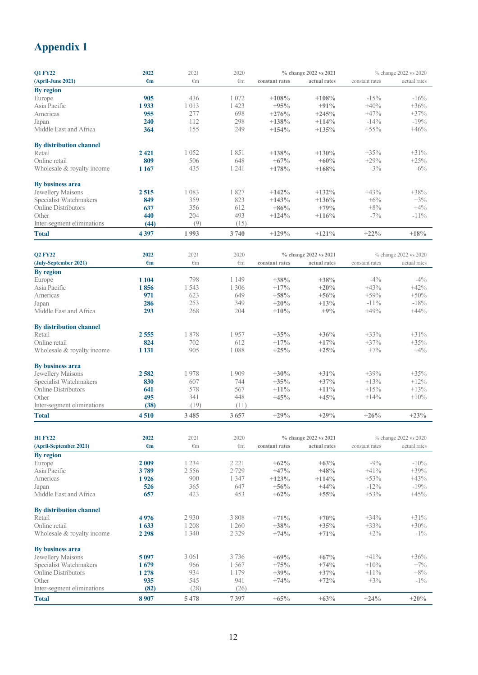# **Appendix 1**

| <b>Q1 FY22</b>                 | 2022         | 2021         | 2020         |                | % change 2022 vs 2021 |                | % change 2022 vs 2020 |
|--------------------------------|--------------|--------------|--------------|----------------|-----------------------|----------------|-----------------------|
| (April-June 2021)              | $\epsilon$ m | €m           | $\epsilon$ m | constant rates | actual rates          | constant rates | actual rates          |
| By region                      |              |              |              |                |                       |                |                       |
| Europe                         | 905          | 436          | 1 0 7 2      | $+108%$        | $+108%$               | $-15%$         | $-16%$                |
| Asia Pacific                   | 1933         | 1013         | 1 4 2 3      | $+95%$         | $+91%$                | $+40%$         | $+36%$                |
| Americas                       | 955          | 277          | 698          | $+276%$        | $+245%$               | $+47%$         | $+37%$                |
| Japan                          | 240          | 112          | 298          | $+138%$        | $+114%$               | $-14%$         | $-19%$                |
| Middle East and Africa         | 364          | 155          | 249          | $+154%$        | $+135%$               | $+55\%$        | $+46%$                |
| By distribution channel        |              |              |              |                |                       |                |                       |
| Retail                         | 2 4 2 1      | 1052         | 1851         | $+138%$        | $+130%$               | $+35%$         | $+31%$                |
| Online retail                  | 809          | 506          | 648          | $+67%$         | $+60%$                | $+29%$         | $+25%$                |
| Wholesale & royalty income     | 1 1 6 7      | 435          | 1 2 4 1      | $+178%$        | $+168%$               | $-3%$          | $-6\%$                |
| By business area               |              |              |              |                |                       |                |                       |
| Jewellery Maisons              | 2515         | 1 0 8 3      | 1827         | $+142%$        | $+132%$               | $+43%$         | $+38%$                |
| Specialist Watchmakers         | 849          | 359          | 823          | $+143%$        | $+136%$               | $+6%$          | $+3%$                 |
| Online Distributors            | 637          | 356          | 612          | $+86%$         | $+79%$                | $+8%$          | $+4%$                 |
| Other                          | 440          | 204          | 493          | $+124%$        | $+116%$               | $-7%$          | $-11\%$               |
| Inter-segment eliminations     | (44)         | (9)          | (15)         |                |                       |                |                       |
| <b>Total</b>                   | 4397         | 1993         | 3740         | $+129%$        | $+121%$               | $+22\%$        | $+18%$                |
|                                |              |              |              |                |                       |                |                       |
| <b>Q2 FY22</b>                 | 2022         | 2021         | 2020         |                | % change 2022 vs 2021 |                | % change 2022 vs 2020 |
| (July-September 2021)          | $\epsilon$ m | $\epsilon$ m | $\epsilon$ m | constant rates | actual rates          | constant rates | actual rates          |
| <b>By region</b>               |              |              |              |                |                       |                |                       |
| Europe                         | 1 1 0 4      | 798          | 1 1 4 9      | $+38%$         | $+38%$                | $-4%$          | $-4\%$                |
| Asia Pacific                   | 1856         | 1 5 4 3      | 1 3 0 6      | $+17%$         | $+20%$                | $+43%$         | $+42%$                |
| Americas                       | 971          | 623          | 649          | $+58%$         | $+56%$                | $+59%$         | $+50%$                |
| Japan                          | 286          | 253          | 349          | $+20%$         | $+13%$                | $-11\%$        | $-18%$                |
| Middle East and Africa         | 293          | 268          | 204          | $+10%$         | $+9%$                 | $+49%$         | $+44%$                |
| By distribution channel        |              |              |              |                |                       |                |                       |
| Retail                         | 2555         | 1878         | 1957         | $+35%$         | $+36%$                | $+33%$         | $+31%$                |
| Online retail                  | 824          | 702          | 612          | $+17%$         | $+17%$                | $+37%$         | $+35%$                |
| Wholesale & royalty income     | 1 1 3 1      | 905          | 1088         | $+25%$         | $+25%$                | $+7%$          | $+4%$                 |
| <b>By business area</b>        |              |              |              |                |                       |                |                       |
| Jewellery Maisons              | 2582         | 1978         | 1 9 0 9      | $+30%$         | $+31%$                | $+39%$         | $+35%$                |
| Specialist Watchmakers         | 830          | 607          | 744          | $+35%$         | $+37%$                | $+13%$         | $+12%$                |
| <b>Online Distributors</b>     | 641          | 578          | 567          | $+11\%$        | $+11\%$               | $+15%$         | $+13%$                |
| Other                          | 495          | 341          | 448          | $+45%$         | $+45%$                | $+14%$         | $+10%$                |
| Inter-segment eliminations     | (38)         | (19)         | (11)         |                |                       |                |                       |
| <b>Total</b>                   | 4510         | 3 4 8 5      | 3 657        | $+29%$         | $+29%$                | $+26%$         | $+23%$                |
|                                |              |              |              |                |                       |                |                       |
| <b>H1 FY22</b>                 | 2022         | 2021         | 2020         |                | % change 2022 vs 2021 |                | % change 2022 vs 2020 |
| (April-September 2021)         | $\epsilon$ m | €m           | $\epsilon$ m | constant rates | actual rates          | constant rates | actual rates          |
| <b>By region</b>               |              |              |              |                |                       |                |                       |
| Europe                         | 2 0 0 9      | 1 2 3 4      | 2 2 2 1      | $+62%$         | $+63%$                | $-9%$          | $-10\%$               |
| Asia Pacific                   | 3789         | 2556         | 2729         | $+47%$         | $+48%$                | $+41%$         | $+39%$                |
| Americas                       | 1926         | 900          | 1 3 4 7      | $+123%$        | $+114%$               | $+53%$         | $+43%$                |
| Japan                          | 526          | 365          | 647          | $+56%$         | $+44%$                | $-12%$         | $-19%$                |
| Middle East and Africa         | 657          | 423          | 453          | $+62%$         | $+55%$                | $+53%$         | $+45%$                |
| <b>By distribution channel</b> |              |              |              |                |                       |                |                       |
| Retail                         | 4976         | 2930         | 3 8 0 8      | $+71%$         | $+70%$                | $+34%$         | $+31%$                |
| Online retail                  | 1633         | 1 2 0 8      | 1 260        | $+38%$         | $+35%$                | $+33%$         | $+30%$                |
| Wholesale & royalty income     | 2 2 9 8      | 1 3 4 0      | 2 3 2 9      | $+74%$         | $+71%$                | $+2\%$         | $-1\%$                |
| By business area               |              |              |              |                |                       |                |                       |
| Jewellery Maisons              | 5 0 9 7      | 3 0 6 1      | 3736         | $+69%$         | $+67%$                | $+41%$         | $+36%$                |
| Specialist Watchmakers         | 1679         | 966          | 1 5 6 7      | $+75%$         | $+74%$                | $+10%$         | $+7%$                 |
| <b>Online Distributors</b>     | 1 2 7 8      | 934          | 1 1 7 9      | $+39%$         | $+37%$                | $+11\%$        | $+8%$                 |
| Other                          | 935          | 545          | 941          | $+74%$         | $+72%$                | $+3%$          | $-1\%$                |
| Inter-segment eliminations     | (82)         | (28)         | (26)         |                |                       |                |                       |
|                                |              |              |              |                |                       |                |                       |
| <b>Total</b>                   | 8 9 0 7      | 5478         | 7397         | $+65%$         | $+63%$                | $+24%$         | $+20%$                |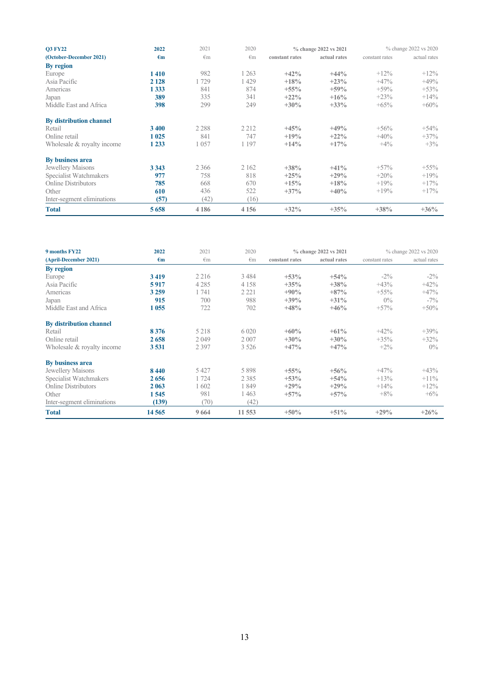| <b>O3 FY22</b>                 | 2022         | 2021         | 2020         |                | % change 2022 vs 2021 |                | % change 2022 vs 2020 |
|--------------------------------|--------------|--------------|--------------|----------------|-----------------------|----------------|-----------------------|
| (October-December 2021)        | $\epsilon$ m | $\epsilon$ m | $\epsilon$ m | constant rates | actual rates          | constant rates | actual rates          |
| By region                      |              |              |              |                |                       |                |                       |
| Europe                         | 1410         | 982          | 263          | $+42%$         | $+44%$                | $+12%$         | $+12\%$               |
| Asia Pacific                   | 2 1 2 8      | 1729         | 429          | $+18%$         | $+23%$                | $+47%$         | $+49%$                |
| Americas                       | 1 333        | 841          | 874          | $+55\%$        | $+59%$                | $+59%$         | $+53%$                |
| Japan                          | 389          | 335          | 341          | $+22\%$        | $+16%$                | $+23%$         | $+14%$                |
| Middle East and Africa         | 398          | 299          | 249          | $+30\%$        | $+33\%$               | $+65%$         | $+60\%$               |
| <b>By distribution channel</b> |              |              |              |                |                       |                |                       |
| Retail                         | 3 4 0 0      | 2 2 8 8      | 2 2 1 2      | $+45%$         | $+49%$                | $+56%$         | $+54%$                |
| Online retail                  | 1 0 25       | 841          | 747          | $+19%$         | $+22\%$               | $+40%$         | $+37%$                |
| Wholesale & royalty income     | 1 2 3 3      | 1057         | 1 1 9 7      | $+14%$         | $+17%$                | $+4\%$         | $+3\%$                |
| By business area               |              |              |              |                |                       |                |                       |
| Jewellery Maisons              | 3 3 4 3      | 2 3 6 6      | 2 1 6 2      | $+38%$         | $+41\%$               | $+57%$         | $+55\%$               |
| Specialist Watchmakers         | 977          | 758          | 818          | $+25%$         | $+29%$                | $+20\%$        | $+19%$                |
| <b>Online Distributors</b>     | 785          | 668          | 670          | $+15%$         | $+18%$                | $+19%$         | $+17%$                |
| Other                          | 610          | 436          | 522          | $+37\%$        | $+40%$                | $+19%$         | $+17%$                |
| Inter-segment eliminations     | (57)         | (42)         | (16)         |                |                       |                |                       |
| <b>Total</b>                   | 5658         | 4 1 8 6      | 4 1 5 6      | $+32\%$        | $+35%$                | $+38%$         | $+36\%$               |

| 9 months FY22                  | 2022         | 2021         | 2020         |                | % change 2022 vs 2021 |                | % change 2022 vs 2020 |
|--------------------------------|--------------|--------------|--------------|----------------|-----------------------|----------------|-----------------------|
| (April-December 2021)          | $\epsilon$ m | $\epsilon$ m | $\epsilon$ m | constant rates | actual rates          | constant rates | actual rates          |
| By region                      |              |              |              |                |                       |                |                       |
| Europe                         | 3419         | 2 2 1 6      | 3 4 8 4      | $+53%$         | $+54%$                | $-2\%$         | $-2\%$                |
| Asia Pacific                   | 5917         | 4 2 8 5      | 4 1 5 8      | $+35%$         | $+38%$                | $+43%$         | $+42%$                |
| Americas                       | 3 2 5 9      | 1741         | 2 2 2 1      | $+90%$         | $+87%$                | $+55\%$        | $+47%$                |
| Japan                          | 915          | 700          | 988          | $+39%$         | $+31\%$               | $0\%$          | $-7\%$                |
| Middle East and Africa         | 1 0 5 5      | 722          | 702          | $+48%$         | $+46%$                | $+57%$         | $+50%$                |
| <b>By distribution channel</b> |              |              |              |                |                       |                |                       |
| Retail                         | 8376         | 5 2 1 8      | 6 0 20       | $+60%$         | $+61%$                | $+42%$         | $+39%$                |
| Online retail                  | 2658         | 2049         | 2 0 0 7      | $+30%$         | $+30%$                | $+35%$         | $+32\%$               |
| Wholesale & royalty income     | 3531         | 2 3 9 7      | 3 5 2 6      | $+47%$         | $+47%$                | $+2\%$         | $0\%$                 |
| <b>By business area</b>        |              |              |              |                |                       |                |                       |
| Jewellery Maisons              | 8440         | 5 4 2 7      | 5898         | $+55\%$        | $+56%$                | $+47%$         | $+43%$                |
| Specialist Watchmakers         | 2656         | 1724         | 2385         | $+53%$         | $+54%$                | $+13\%$        | $+11\%$               |
| <b>Online Distributors</b>     | 2 0 6 3      | 602          | 1849         | $+29%$         | $+29%$                | $+14\%$        | $+12\%$               |
| Other                          | 1545         | 981          | 1463         | $+57\%$        | $+57\%$               | $+8\%$         | $+6\%$                |
| Inter-segment eliminations     | (139)        | (70)         | (42)         |                |                       |                |                       |
| <b>Total</b>                   | 14565        | 9664         | 11 553       | $+50\%$        | $+51%$                | $+29\%$        | $+26%$                |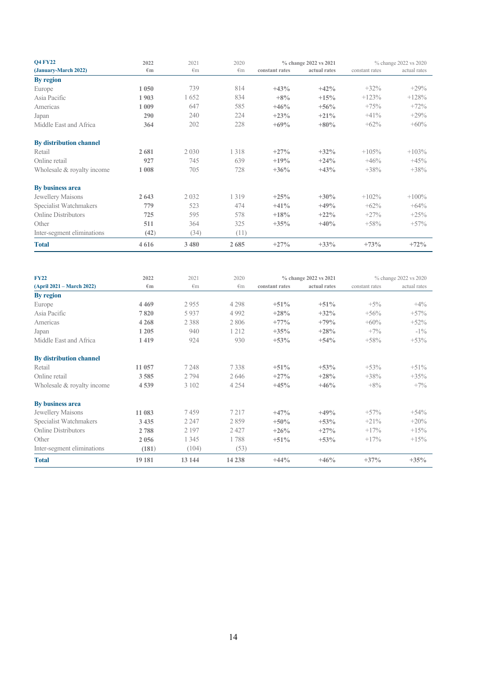| <b>Q4 FY22</b>                 | 2022         | 2021         | 2020         |                | % change 2022 vs 2021 |                | % change 2022 vs 2020 |
|--------------------------------|--------------|--------------|--------------|----------------|-----------------------|----------------|-----------------------|
| (January-March 2022)           | $\epsilon$ m | $\epsilon$ m | $\epsilon$ m | constant rates | actual rates          | constant rates | actual rates          |
| By region                      |              |              |              |                |                       |                |                       |
| Europe                         | 1 0 5 0      | 739          | 814          | $+43%$         | $+42%$                | $+32%$         | $+29%$                |
| Asia Pacific                   | 1903         | 1652         | 834          | $+8%$          | $+15%$                | $+123%$        | $+128%$               |
| Americas                       | 1 0 0 9      | 647          | 585          | $+46%$         | $+56%$                | $+75%$         | $+72%$                |
| Japan                          | 290          | 240          | 224          | $+23%$         | $+21\%$               | $+41%$         | $+29%$                |
| Middle East and Africa         | 364          | 202          | 228          | $+69%$         | $+80%$                | $+62%$         | $+60%$                |
| <b>By distribution channel</b> |              |              |              |                |                       |                |                       |
| Retail                         | 2681         | 2 0 3 0      | 1318         | $+27%$         | $+32%$                | $+105%$        | $+103%$               |
| Online retail                  | 927          | 745          | 639          | $+19%$         | $+24%$                | $+46%$         | $+45%$                |
| Wholesale & royalty income     | 1 0 0 8      | 705          | 728          | $+36%$         | $+43%$                | $+38%$         | $+38%$                |
| By business area               |              |              |              |                |                       |                |                       |
| Jewellery Maisons              | 2 6 4 3      | 2032         | 1 3 1 9      | $+25%$         | $+30%$                | $+102%$        | $+100%$               |
| Specialist Watchmakers         | 779          | 523          | 474          | $+41%$         | $+49%$                | $+62%$         | $+64%$                |
| <b>Online Distributors</b>     | 725          | 595          | 578          | $+18%$         | $+22\%$               | $+27%$         | $+25%$                |
| Other                          | 511          | 364          | 325          | $+35%$         | $+40%$                | $+58%$         | $+57%$                |
| Inter-segment eliminations     | (42)         | (34)         | (11)         |                |                       |                |                       |
| <b>Total</b>                   | 4616         | 3 4 8 0      | 2685         | $+27%$         | $+33%$                | $+73%$         | $+72%$                |

| <b>FY22</b>                    | 2022         | 2021         | 2020         |                | % change 2022 vs 2021 |                | % change 2022 vs 2020 |
|--------------------------------|--------------|--------------|--------------|----------------|-----------------------|----------------|-----------------------|
| (April 2021 – March 2022)      | $\epsilon$ m | $\epsilon$ m | $\epsilon$ m | constant rates | actual rates          | constant rates | actual rates          |
| By region                      |              |              |              |                |                       |                |                       |
| Europe                         | 4 4 6 9      | 2955         | 4 2 9 8      | $+51%$         | $+51%$                | $+5\%$         | $+4\%$                |
| Asia Pacific                   | 7820         | 5937         | 4 9 9 2      | $+28%$         | $+32\%$               | $+56%$         | $+57%$                |
| Americas                       | 4 2 6 8      | 2388         | 2 8 0 6      | $+77%$         | $+79%$                | $+60\%$        | $+52%$                |
| Japan                          | 1 2 0 5      | 940          | 1 2 1 2      | $+35%$         | $+28%$                | $+7\%$         | $-1\%$                |
| Middle East and Africa         | 1419         | 924          | 930          | $+53%$         | $+54%$                | $+58%$         | $+53%$                |
| <b>By distribution channel</b> |              |              |              |                |                       |                |                       |
| Retail                         | 11 057       | 7248         | 7338         | $+51%$         | $+53%$                | $+53%$         | $+51%$                |
| Online retail                  | 3585         | 2 7 9 4      | 2646         | $+27%$         | $+28%$                | $+38%$         | $+35%$                |
| Wholesale & royalty income     | 4539         | 3 1 0 2      | 4 2 5 4      | $+45%$         | $+46%$                | $+8\%$         | $+7\%$                |
| By business area               |              |              |              |                |                       |                |                       |
| Jewellery Maisons              | 11 083       | 7459         | 7 2 1 7      | $+47%$         | $+49%$                | $+57%$         | $+54%$                |
| Specialist Watchmakers         | 3 4 3 5      | 2 2 4 7      | 2859         | $+50%$         | $+53%$                | $+21%$         | $+20%$                |
| <b>Online Distributors</b>     | 2788         | 2 1 9 7      | 2 4 2 7      | $+26%$         | $+27\%$               | $+17%$         | $+15%$                |
| Other                          | 2 0 5 6      | 1 3 4 5      | 1788         | $+51%$         | $+53%$                | $+17%$         | $+15%$                |
| Inter-segment eliminations     | (181)        | (104)        | (53)         |                |                       |                |                       |
| <b>Total</b>                   | 19 181       | 13 144       | 14 2 38      | $+44%$         | $+46%$                | $+37\%$        | $+35%$                |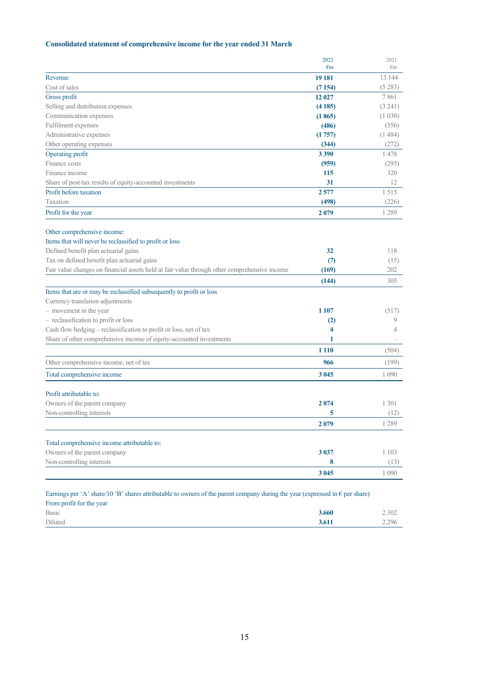### **Consolidated statement of comprehensive income for the year ended 31 March**

|                                                                                                                                       | 2022         | 2021         |
|---------------------------------------------------------------------------------------------------------------------------------------|--------------|--------------|
|                                                                                                                                       | $\epsilon$ m | $\epsilon$ m |
| Revenue                                                                                                                               | 19 181       | 13 144       |
| Cost of sales                                                                                                                         | (7154)       | (5283)       |
| Gross profit                                                                                                                          | 12 027       | 7861         |
| Selling and distribution expenses                                                                                                     | (4185)       | (3 241)      |
| Communication expenses                                                                                                                | (1865)       | (1 030)      |
| Fulfilment expenses                                                                                                                   | (486)        | (356)        |
| Administrative expenses                                                                                                               | (1757)       | (1484)       |
| Other operating expenses                                                                                                              | (344)        | (272)        |
| Operating profit                                                                                                                      | 3 3 9 0      | 1478         |
| Finance costs                                                                                                                         | (959)        | (295)        |
| Finance income                                                                                                                        | 115          | 320          |
| Share of post-tax results of equity-accounted investments                                                                             | 31           | 12           |
| Profit before taxation                                                                                                                | 2577         | 1515         |
| Taxation                                                                                                                              | (498)        | (226)        |
| Profit for the year                                                                                                                   | 2079         | 1 2 8 9      |
| Other comprehensive income:                                                                                                           |              |              |
| Items that will never be reclassified to profit or loss                                                                               |              |              |
| Defined benefit plan actuarial gains                                                                                                  | 32           | 118          |
| Tax on defined benefit plan actuarial gains                                                                                           | (7)          | (15)         |
| Fair value changes on financial assets held at fair value through other comprehensive income                                          | (169)        | 202          |
|                                                                                                                                       | (144)        | 305          |
| Items that are or may be reclassified subsequently to profit or loss                                                                  |              |              |
| Currency translation adjustments                                                                                                      |              |              |
| - movement in the year                                                                                                                | 1 107        | (517)        |
| - reclassification to profit or loss                                                                                                  | (2)          | 9            |
| Cash flow hedging - reclassification to profit or loss, net of tax                                                                    | 4            | 4            |
| Share of other comprehensive income of equity-accounted investments                                                                   | 1            |              |
|                                                                                                                                       | 1 1 1 0      | (504)        |
| Other comprehensive income, net of tax                                                                                                | 966          | (199)        |
| Total comprehensive income                                                                                                            | 3 0 4 5      | 1 0 9 0      |
| Profit attributable to:                                                                                                               |              |              |
| Owners of the parent company                                                                                                          | 2074         | 1 3 0 1      |
| Non-controlling interests                                                                                                             | 5            | (12)         |
|                                                                                                                                       | 2079         | 1 2 8 9      |
|                                                                                                                                       |              |              |
| Total comprehensive income attributable to:                                                                                           |              |              |
| Owners of the parent company                                                                                                          | 3 0 3 7      | 1 1 0 3      |
| Non-controlling interests                                                                                                             | 8            | (13)         |
|                                                                                                                                       | 3 0 45       | 1 0 9 0      |
| Earnings per 'A' share/10 'B' shares attributable to owners of the parent company during the year (expressed in $\epsilon$ per share) |              |              |
| From profit for the year                                                                                                              |              |              |

| 110m promotor and your |       |       |
|------------------------|-------|-------|
| Basic                  | 3.660 | 2.302 |
| Diluted                | 3.611 | 2.296 |
|                        |       |       |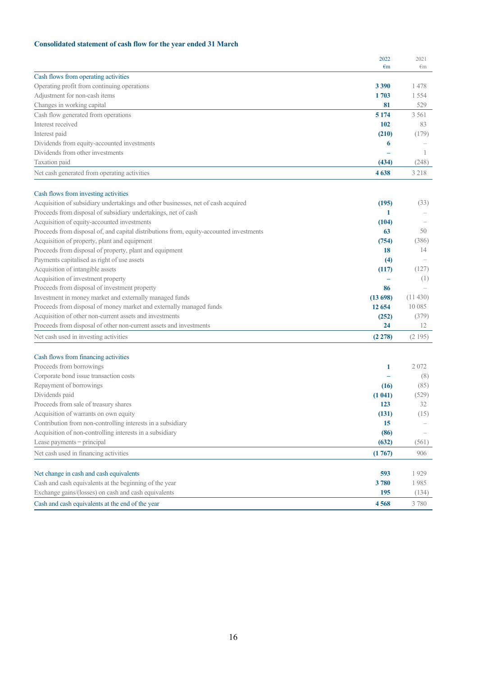### **Consolidated statement of cash flow for the year ended 31 March**

|                                                                                         | 2022         | 2021    |
|-----------------------------------------------------------------------------------------|--------------|---------|
|                                                                                         | $\epsilon$ m | €m      |
| Cash flows from operating activities                                                    |              |         |
| Operating profit from continuing operations                                             | 3 3 9 0      | 1478    |
| Adjustment for non-cash items                                                           | 1703         | 1 5 5 4 |
| Changes in working capital                                                              | 81           | 529     |
| Cash flow generated from operations                                                     | 5 1 7 4      | 3 5 6 1 |
| Interest received                                                                       | 102          | 83      |
| Interest paid                                                                           | (210)        | (179)   |
| Dividends from equity-accounted investments                                             | 6            |         |
| Dividends from other investments                                                        |              | -1      |
| Taxation paid                                                                           | (434)        | (248)   |
| Net cash generated from operating activities                                            | 4638         | 3 2 1 8 |
| Cash flows from investing activities                                                    |              |         |
| Acquisition of subsidiary undertakings and other businesses, net of cash acquired       | (195)        | (33)    |
| Proceeds from disposal of subsidiary undertakings, net of cash                          | 1            |         |
| Acquisition of equity-accounted investments                                             | (104)        |         |
| Proceeds from disposal of, and capital distributions from, equity-accounted investments | 63           | 50      |
| Acquisition of property, plant and equipment                                            | (754)        | (386)   |
| Proceeds from disposal of property, plant and equipment                                 | 18           | 14      |
| Payments capitalised as right of use assets                                             | (4)          |         |
| Acquisition of intangible assets                                                        | (117)        | (127)   |
| Acquisition of investment property                                                      |              | (1)     |
| Proceeds from disposal of investment property                                           | 86           |         |
| Investment in money market and externally managed funds                                 | (13698)      | (11430) |
| Proceeds from disposal of money market and externally managed funds                     | 12 6 5 4     | 10 0 85 |
| Acquisition of other non-current assets and investments                                 | (252)        | (379)   |
| Proceeds from disposal of other non-current assets and investments                      | 24           | 12      |
|                                                                                         |              |         |
| Net cash used in investing activities                                                   | (2278)       | (2195)  |
| Cash flows from financing activities                                                    |              |         |
| Proceeds from borrowings                                                                | 1            | 2072    |
| Corporate bond issue transaction costs                                                  |              | (8)     |
| Repayment of borrowings                                                                 | (16)         | (85)    |
| Dividends paid                                                                          | (1041)       | (529)   |
| Proceeds from sale of treasury shares                                                   | 123          | 32      |
| Acquisition of warrants on own equity                                                   | (131)        | (15)    |
| Contribution from non-controlling interests in a subsidiary                             | 15           |         |
| Acquisition of non-controlling interests in a subsidiary                                | (86)         |         |
| Lease payments - principal                                                              | (632)        | (561)   |
| Net cash used in financing activities                                                   | (1767)       | 906     |
| Net change in cash and cash equivalents                                                 | 593          | 1929    |
| Cash and cash equivalents at the beginning of the year                                  | 3780         | 1985    |
| Exchange gains/(losses) on cash and cash equivalents                                    | 195          | (134)   |
| Cash and cash equivalents at the end of the year                                        |              | 3780    |
|                                                                                         | 4568         |         |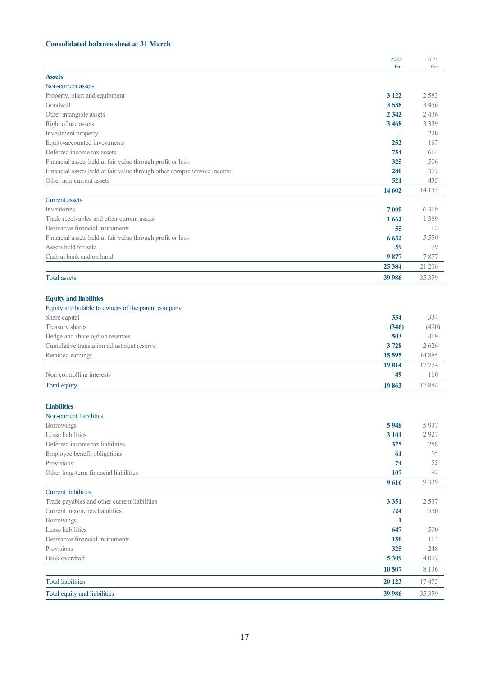### **Consolidated balance sheet at 31 March**

|                                                                        | 2022<br>$\epsilon$ m | 2021             |
|------------------------------------------------------------------------|----------------------|------------------|
| <b>Assets</b>                                                          |                      | €m               |
| Non-current assets                                                     |                      |                  |
| Property, plant and equipment                                          | 3 1 2 2              | 2 5 8 3          |
| Goodwill                                                               | 3538                 | 3 4 5 6          |
| Other intangible assets                                                | 2 3 4 2              | 2 4 3 6          |
| Right of use assets                                                    | 3468                 | 3 3 3 9          |
| Investment property                                                    |                      | 220              |
| Equity-accounted investments                                           | 252                  | 187              |
| Deferred income tax assets                                             | 754                  | 614              |
| Financial assets held at fair value through profit or loss             | 325                  | 506              |
| Financial assets held at fair value through other comprehensive income | 280                  | 377              |
| Other non-current assets                                               | 521                  | 435              |
|                                                                        | 14 602               | 14 153           |
| <b>Current assets</b>                                                  |                      |                  |
| <b>Inventories</b>                                                     | 7099                 | 6319             |
| Trade receivables and other current assets                             | 1662                 | 1 3 6 9          |
| Derivative financial instruments                                       | 55                   | 12               |
| Financial assets held at fair value through profit or loss             | 6 6 3 2              | 5 5 5 0          |
| Assets held for sale                                                   | 59                   | 79               |
| Cash at bank and on hand                                               | 9877                 | 7877             |
|                                                                        | 25 384               | 21 20 6          |
| <b>Total assets</b>                                                    | 39 986               | 35 35 9          |
|                                                                        |                      |                  |
| <b>Equity and liabilities</b>                                          |                      |                  |
| Equity attributable to owners of the parent company                    |                      |                  |
| Share capital                                                          | 334                  | 334              |
| Treasury shares                                                        | (346)                | (490)            |
| Hedge and share option reserves                                        | 503                  | 419              |
| Cumulative translation adjustment reserve                              | 3728                 | 2 6 2 6<br>14885 |
| Retained earnings                                                      | 15 5 95<br>19814     | 17774            |
| Non-controlling interests                                              | 49                   | 110              |
| Total equity                                                           | 19863                | 17884            |
|                                                                        |                      |                  |
| <b>Liabilities</b>                                                     |                      |                  |
| Non-current liabilities                                                |                      |                  |
| Borrowings                                                             | 5948                 | 5 9 3 7          |
| Lease liabilities                                                      | 3 101                | 2 9 2 7          |
| Deferred income tax liabilities                                        | 325                  | 258              |
| Employee benefit obligations                                           | 61                   | 65               |
| Provisions                                                             | 74                   | 55               |
| Other long-term financial liabilities                                  | 107                  | 97               |
|                                                                        | 9616                 | 9 3 3 9          |
| <b>Current liabilities</b>                                             |                      |                  |
| Trade payables and other current liabilities                           | 3 3 5 1              | 2 5 3 7          |
| Current income tax liabilities                                         | 724                  | 550              |
| Borrowings                                                             | 1                    |                  |
| Lease liabilities                                                      | 647                  | 590              |
| Derivative financial instruments                                       | 150                  | 114              |
| Provisions                                                             | 325                  | 248              |
| Bank overdraft                                                         | 5309                 | 4 0 9 7          |
|                                                                        | 10 507               | 8 1 3 6          |
| <b>Total liabilities</b>                                               | 20 123               | 17475            |
| Total equity and liabilities                                           | 39 986               | 35 35 9          |
|                                                                        |                      |                  |